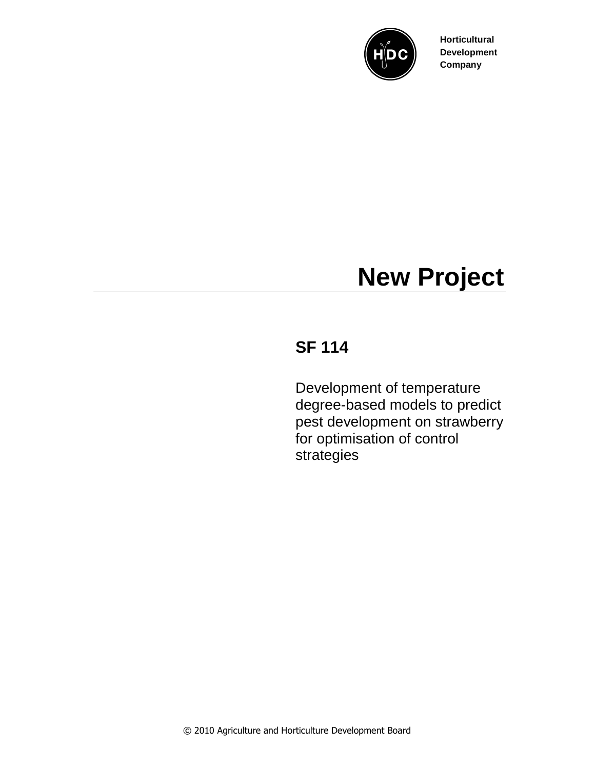

**Horticultural Development Company**

## **New Project**

## **SF 114**

Development of temperature degree-based models to predict pest development on strawberry for optimisation of control strategies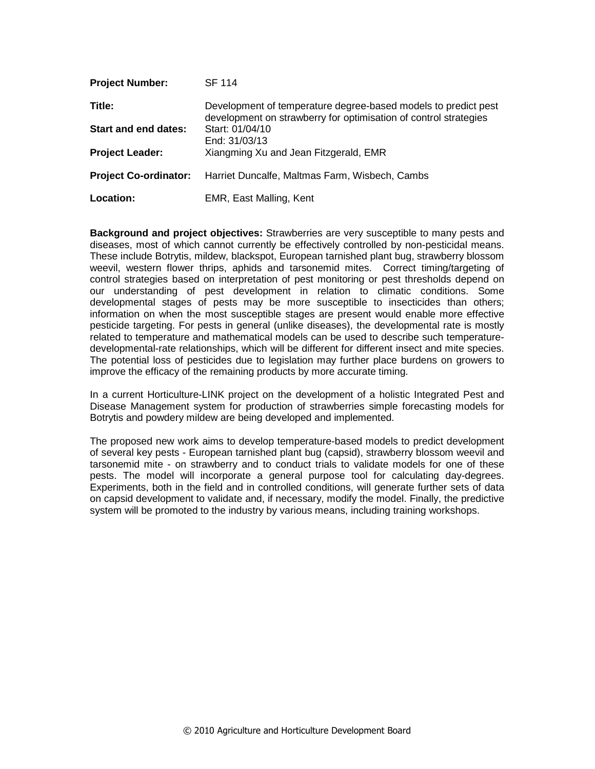| <b>Project Number:</b>       | <b>SF 114</b>                                                                                                                      |
|------------------------------|------------------------------------------------------------------------------------------------------------------------------------|
| Title:                       | Development of temperature degree-based models to predict pest<br>development on strawberry for optimisation of control strategies |
| <b>Start and end dates:</b>  | Start: 01/04/10<br>End: 31/03/13                                                                                                   |
| <b>Project Leader:</b>       | Xiangming Xu and Jean Fitzgerald, EMR                                                                                              |
| <b>Project Co-ordinator:</b> | Harriet Duncalfe, Maltmas Farm, Wisbech, Cambs                                                                                     |
| Location:                    | EMR, East Malling, Kent                                                                                                            |

**Background and project objectives:** Strawberries are very susceptible to many pests and diseases, most of which cannot currently be effectively controlled by non-pesticidal means. These include Botrytis, mildew, blackspot, European tarnished plant bug, strawberry blossom weevil, western flower thrips, aphids and tarsonemid mites. Correct timing/targeting of control strategies based on interpretation of pest monitoring or pest thresholds depend on our understanding of pest development in relation to climatic conditions. Some developmental stages of pests may be more susceptible to insecticides than others; information on when the most susceptible stages are present would enable more effective pesticide targeting. For pests in general (unlike diseases), the developmental rate is mostly related to temperature and mathematical models can be used to describe such temperaturedevelopmental-rate relationships, which will be different for different insect and mite species. The potential loss of pesticides due to legislation may further place burdens on growers to improve the efficacy of the remaining products by more accurate timing.

In a current Horticulture-LINK project on the development of a holistic Integrated Pest and Disease Management system for production of strawberries simple forecasting models for Botrytis and powdery mildew are being developed and implemented.

The proposed new work aims to develop temperature-based models to predict development of several key pests - European tarnished plant bug (capsid), strawberry blossom weevil and tarsonemid mite - on strawberry and to conduct trials to validate models for one of these pests. The model will incorporate a general purpose tool for calculating day-degrees. Experiments, both in the field and in controlled conditions, will generate further sets of data on capsid development to validate and, if necessary, modify the model. Finally, the predictive system will be promoted to the industry by various means, including training workshops.